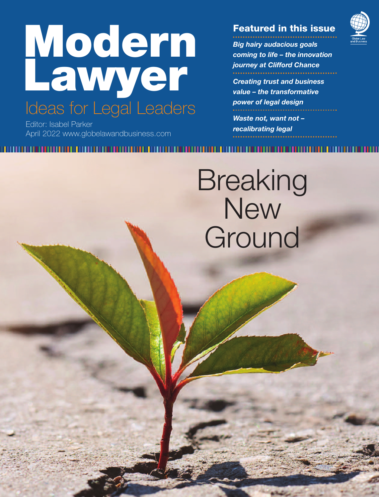# **Modern Lawyer** Ideas for Legal Leaders

Editor: Isabel Parker April 2022 www.globelawandbusiness.com

### **Featured in this issue**

*Big hairy audacious goals coming to life – the innovation journey at Clifford Chance Creating trust and business*

*value – the transformative power of legal design*

*Waste not, want not – recalibrating legal*

# **Breaking New** Ground

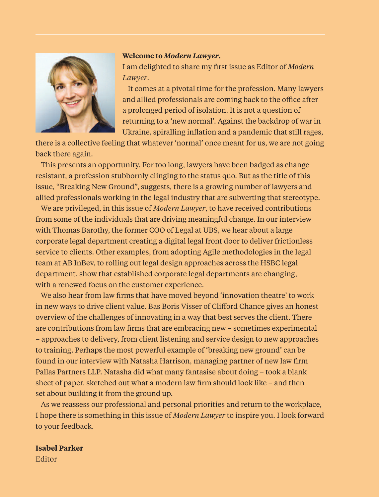

#### **Welcome to** *Modern Lawyer***.**

I am delighted to share my first issue as Editor of *Modern Lawyer*.

It comes at a pivotal time for the profession. Many lawyers and allied professionals are coming back to the office after a prolonged period of isolation. It is not a question of returning to a 'new normal'. Against the backdrop of war in Ukraine, spiralling inflation and a pandemic that still rages,

there is a collective feeling that whatever 'normal' once meant for us, we are not going back there again.

This presents an opportunity. For too long, lawyers have been badged as change resistant, a profession stubbornly clinging to the status quo. But as the title of this issue, "Breaking New Ground", suggests, there is a growing number of lawyers and allied professionals working in the legal industry that are subverting that stereotype.

We are privileged, in this issue of *Modern Lawyer*, to have received contributions from some of the individuals that are driving meaningful change. In our interview with Thomas Barothy, the former COO of Legal at UBS, we hear about a large corporate legal department creating a digital legal front door to deliver frictionless service to clients. Other examples, from adopting Agile methodologies in the legal team at AB InBev, to rolling out legal design approaches across the HSBC legal department, show that established corporate legal departments are changing, with a renewed focus on the customer experience.

We also hear from law firms that have moved beyond 'innovation theatre' to work in new ways to drive client value. Bas Boris Visser of Clifford Chance gives an honest overview of the challenges of innovating in a way that best serves the client. There are contributions from law firms that are embracing new – sometimes experimental – approaches to delivery, from client listening and service design to new approaches to training. Perhaps the most powerful example of 'breaking new ground' can be found in our interview with Natasha Harrison, managing partner of new law firm Pallas Partners LLP. Natasha did what many fantasise about doing – took a blank sheet of paper, sketched out what a modern law firm should look like – and then set about building it from the ground up.

As we reassess our professional and personal priorities and return to the workplace, I hope there is something in this issue of *Modern Lawyer* to inspire you. I look forward to your feedback.

### **Isabel Parker**

Editor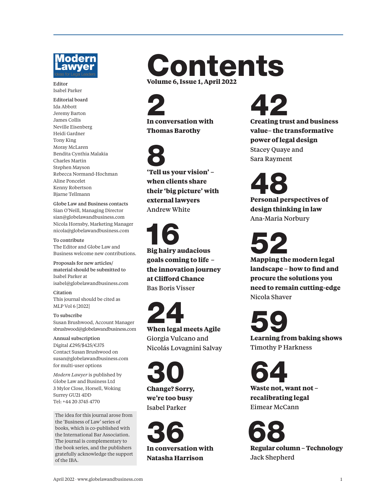

#### **Editor** Isabel Parker

**Editorial board** Ida Abbott Jeremy Barton James Collis Neville Eisenberg Heidi Gardner Tony King Moray McLaren Bendita Cynthia Malakia Charles Martin Stephen Mayson Rebecca Normand-Hochman Aline Poncelet Kenny Robertson Bjarne Tellmann

**Globe Law and Business contacts** Sian O'Neill, Managing Director sian@globelawandbusiness.com Nicola Hornsby, Marketing Manager nicola@globelawandbusiness.com

**To contribute** The Editor and Globe Law and Business welcome new contributions.

**Proposals for new articles/ material should be submitted to** Isabel Parker at isabel@globelawandbusiness.com

**Citation** This journal should be cited as MLP Vol 6 [2022]

**To subscribe** Susan Brushwood, Account Manager sbrushwood @globelawandbusiness.com

**Annual subscription** Digital £295/\$425/€375 Contact Susan Brushwood on susan@globelawandbusiness.com for multi-user options

*Modern Lawyer* is published by Globe Law and Business Ltd 3 Mylor Close, Horsell, Woking Surrey GU21 4DD Tel: +44 20 3745 4770

The idea for this journal arose from the 'Business of Law' series of books, which is co-published with the International Bar Association. The journal is complementary to the book series, and the publishers gratefully acknowledge the support of the IBA.

# **Contents Volume 6, Issue 1, April 2022**

**2 In conversation with Thomas Barothy**

**8 'Tell us your vision' – when clients share their 'big picture' with external lawyers Andrew White**

**16 Big hairy audacious goals coming to life – the innovation journey at Clifford Chance Bas Boris Visser**

**24 When legal meets Agile Giorgia Vulcano and Nicolás Lovagnini Salvay**

**30 Change? Sorry, we're too busy Isabel Parker**

**36 In conversation with Natasha Harrison**

**42 Creating trust and business value– the transformative power of legal design**

**Stacey Quaye and Sara Rayment**

**48 Personal perspectives of design thinking in law Ana-Maria Norbury**

**52 Mapping the modern legal landscape – how to find and procure the solutions you need to remain cutting-edge Nicola Shaver**

**59 Learning from baking shows Timothy P Harkness**

**64 Waste not, want not – recalibrating legal Eimear McCann**